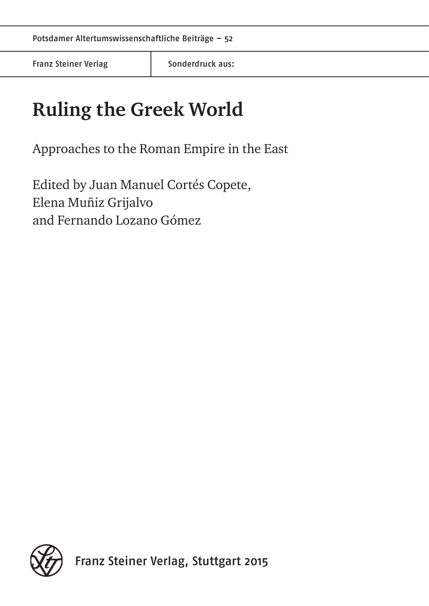Franz Steiner Verlag Franz Sonderdruck aus:

# **Ruling the Greek World**

Approaches to the Roman Empire in the East

Edited by Juan Manuel Cortés Copete, Elena Muñiz Grijalvo and Fernando Lozano Gómez

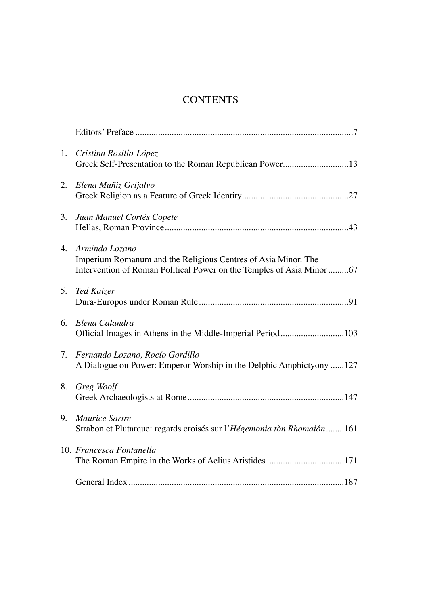# **CONTENTS**

| 1. | Cristina Rosillo-López<br>Greek Self-Presentation to the Roman Republican Power13                                                                        |
|----|----------------------------------------------------------------------------------------------------------------------------------------------------------|
| 2. | Elena Muñiz Grijalvo                                                                                                                                     |
| 3. | Juan Manuel Cortés Copete                                                                                                                                |
| 4. | Arminda Lozano<br>Imperium Romanum and the Religious Centres of Asia Minor. The<br>Intervention of Roman Political Power on the Temples of Asia Minor 67 |
| 5. | Ted Kaizer                                                                                                                                               |
| 6. | Elena Calandra<br>Official Images in Athens in the Middle-Imperial Period103                                                                             |
| 7. | Fernando Lozano, Rocío Gordillo<br>A Dialogue on Power: Emperor Worship in the Delphic Amphictyony 127                                                   |
| 8. | Greg Woolf                                                                                                                                               |
| 9. | Maurice Sartre<br>Strabon et Plutarque: regards croisés sur l'Hégemonia tòn Rhomaiôn161                                                                  |
|    | 10. Francesca Fontanella<br>The Roman Empire in the Works of Aelius Aristides 171                                                                        |
|    |                                                                                                                                                          |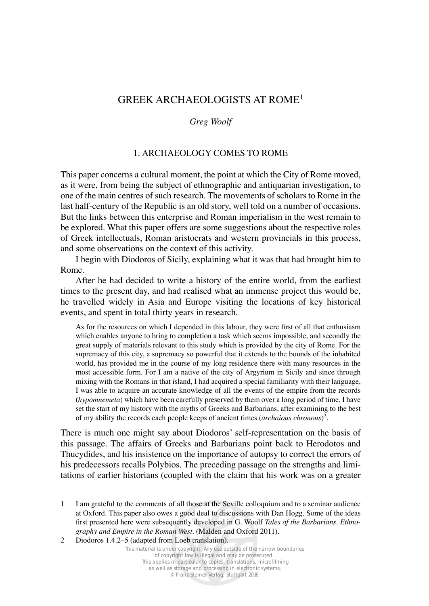# GREEK ARCHAEOLOGISTS AT ROME<sup>1</sup>

#### *Greg Woolf*

## 1. ARCHAEOLOGY COMES TO ROME

This paper concerns a cultural moment, the point at which the City of Rome moved, as it were, from being the subject of ethnographic and antiquarian investigation, to one of the main centres of such research. The movements of scholars to Rome in the last half-century of the Republic is an old story, well told on a number of occasions. But the links between this enterprise and Roman imperialism in the west remain to be explored. What this paper offers are some suggestions about the respective roles of Greek intellectuals, Roman aristocrats and western provincials in this process, and some observations on the context of this activity.

I begin with Diodoros of Sicily, explaining what it was that had brought him to Rome.

After he had decided to write a history of the entire world, from the earliest times to the present day, and had realised what an immense project this would be, he travelled widely in Asia and Europe visiting the locations of key historical events, and spent in total thirty years in research.

As for the resources on which I depended in this labour, they were first of all that enthusiasm which enables anyone to bring to completion a task which seems impossible, and secondly the great supply of materials relevant to this study which is provided by the city of Rome. For the supremacy of this city, a supremacy so powerful that it extends to the bounds of the inhabited world, has provided me in the course of my long residence there with many resources in the most accessible form. For I am a native of the city of Argyrium in Sicily and since through mixing with the Romans in that island, I had acquired a special familiarity with their language, I was able to acquire an accurate knowledge of all the events of the empire from the records (*hypomnemeta*) which have been carefully preserved by them over a long period of time. I have set the start of my history with the myths of Greeks and Barbarians, after examining to the best of my ability the records each people keeps of ancient times (*archaious chronous*)<sup>2</sup>.

There is much one might say about Diodoros' self-representation on the basis of this passage. The affairs of Greeks and Barbarians point back to Herodotos and Thucydides, and his insistence on the importance of autopsy to correct the errors of his predecessors recalls Polybios. The preceding passage on the strengths and limitations of earlier historians (coupled with the claim that his work was on a greater

<sup>1</sup> I am grateful to the comments of all those at the Seville colloquium and to a seminar audience at Oxford. This paper also owes a good deal to discussions with Dan Hogg. Some of the ideas first presented here were subsequently developed in G. Woolf *Tales of the Barbarians. Ethno*graphy and Empire in the Roman West. (Malden and Oxford 2011).

<sup>2</sup> Diodoros 1.4.2–5 (adapted from Loeb translation).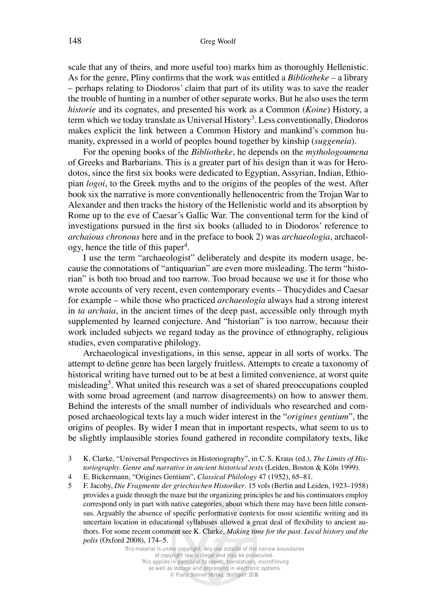scale that any of theirs, and more useful too) marks him as thoroughly Hellenistic. As for the genre, Pliny confirms that the work was entitled a *Bibliotheke* – a library – perhaps relating to Diodoros' claim that part of its utility was to save the reader the trouble of hunting in a number of other separate works. But he also uses the term *historie* and its cognates, and presented his work as a Common (*Koine*) History, a term which we today translate as Universal History<sup>3</sup>. Less conventionally, Diodoros makes explicit the link between a Common History and mankind's common humanity, expressed in a world of peoples bound together by kinship (suggeneia).

For the opening books of the *Bibliotheke*, he depends on the *mythologoumena*  of Greeks and Barbarians. This is a greater part of his design than it was for Herodotos, since the first six books were dedicated to Egyptian, Assyrian, Indian, Ethiopian *logoi*, to the Greek myths and to the origins of the peoples of the west. After book six the narrative is more conventionally hellenocentric from the Trojan War to Alexander and then tracks the history of the Hellenistic world and its absorption by Rome up to the eve of Caesar's Gallic War. The conventional term for the kind of investigations pursued in the first six books (alluded to in Diodoros' reference to *archaious chronous* here and in the preface to book 2) was *archaeologia*, archaeology, hence the title of this paper4.

I use the term "archaeologist" deliberately and despite its modern usage, because the connotations of "antiquarian" are even more misleading. The term "historian" is both too broad and too narrow. Too broad because we use it for those who wrote accounts of very recent, even contemporary events – Thucydides and Caesar for example – while those who practiced *archaeologia* always had a strong interest in *ta archaia*, in the ancient times of the deep past, accessible only through myth supplemented by learned conjecture. And "historian" is too narrow, because their work included subjects we regard today as the province of ethnography, religious studies, even comparative philology.

Archaeological investigations, in this sense, appear in all sorts of works. The attempt to define genre has been largely fruitless. Attempts to create a taxonomy of historical writing have turned out to be at best a limited convenience, at worst quite misleading<sup>5</sup>. What united this research was a set of shared preoccupations coupled with some broad agreement (and narrow disagreements) on how to answer them. Behind the interests of the small number of individuals who researched and composed archaeological texts lay a much wider interest in the "*origines gentium*", the origins of peoples. By wider I mean that in important respects, what seem to us to be slightly implausible stories found gathered in recondite compilatory texts, like

3 K. Clarke, "Universal Perspectives in Historiography", in C. S. Kraus (ed.), *The Limits of Historiography. Genre and narrative in ancient historical texts* (Leiden, Boston & Köln 1999).

5 F. Jacoby, *Die Fragmente der griechischen Historiker*. 15 vols (Berlin and Leiden, 1923–1958) provides a guide through the maze but the organizing principles he and his continuators employ correspond only in part with native categories, about which there may have been little consensus. Arguably the absence of specific performative contexts for most scientific writing and its uncertain location in educational syllabuses allowed a great deal of flexibility to ancient authors. For some recent comment see K. Clarke, *Making time for the past. Local history and the polis* (Oxford 2008), 174–5.

<sup>4</sup> E. Bickermann, "Origines Gentium", *Classical Philology* 47 (1952), 65-81.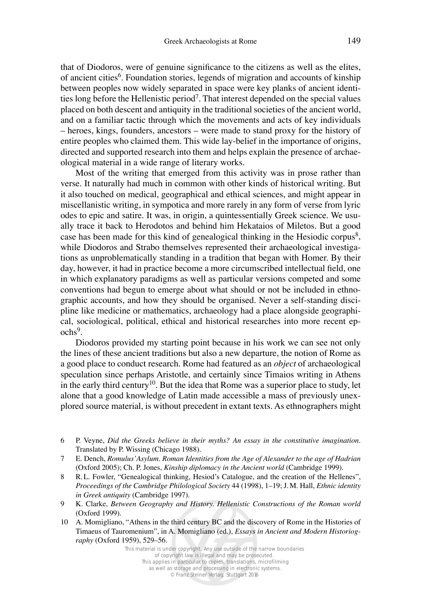that of Diodoros, were of genuine significance to the citizens as well as the elites, of ancient cities<sup>6</sup>. Foundation stories, legends of migration and accounts of kinship between peoples now widely separated in space were key planks of ancient identities long before the Hellenistic period<sup>7</sup>. That interest depended on the special values placed on both descent and antiquity in the traditional societies of the ancient world, and on a familiar tactic through which the movements and acts of key individuals – heroes, kings, founders, ancestors – were made to stand proxy for the history of entire peoples who claimed them. This wide lay-belief in the importance of origins, directed and supported research into them and helps explain the presence of archaeological material in a wide range of literary works.

Most of the writing that emerged from this activity was in prose rather than verse. It naturally had much in common with other kinds of historical writing. But it also touched on medical, geographical and ethical sciences, and might appear in miscellanistic writing, in sympotica and more rarely in any form of verse from lyric odes to epic and satire. It was, in origin, a quintessentially Greek science. We usually trace it back to Herodotos and behind him Hekataios of Miletos. But a good case has been made for this kind of genealogical thinking in the Hesiodic corpus<sup>8</sup>, while Diodoros and Strabo themselves represented their archaeological investigations as unproblematically standing in a tradition that began with Homer. By their day, however, it had in practice become a more circumscribed intellectual field, one in which explanatory paradigms as well as particular versions competed and some conventions had begun to emerge about what should or not be included in ethnographic accounts, and how they should be organised. Never a self-standing discipline like medicine or mathematics, archaeology had a place alongside geographical, sociological, political, ethical and historical researches into more recent epochs9.

Diodoros provided my starting point because in his work we can see not only the lines of these ancient traditions but also a new departure, the notion of Rome as a good place to conduct research. Rome had featured as an *object* of archaeological speculation since perhaps Aristotle, and certainly since Timaios writing in Athens in the early third century<sup>10</sup>. But the idea that Rome was a superior place to study, let alone that a good knowledge of Latin made accessible a mass of previously unexplored source material, is without precedent in extant texts. As ethnographers might

- 6 P. Veyne, *Did the Greeks believe in their myths? An essay in the constitutive imagination.* Translated by P. Wissing (Chicago 1988).
- 7 E. Dench, *Romulus'Asylum. Roman Identities from the Age of Alexander to the age of Hadrian*  (Oxford 2005); Ch. P. Jones, *Kinship diplomacy in the Ancient world* (Cambridge 1999).
- 8 R.L. Fowler, "Genealogical thinking, Hesiod's Catalogue, and the creation of the Hellenes", *Proceedings of the Cambridge Philological Society* 44 (1998), 1-19; J.M. Hall, *Ethnic identity in Greek antiquity* (Cambridge 1997).
- 9 K. Clarke, *Between Geography and History. Hellenistic Constructions of the Roman world* (Oxford 1999).
- 10 A. Momigliano, "Athens in the third century BC and the discovery of Rome in the Histories of Timaeus of Tauromenium", in A. Momigliano (ed.), *Essays in Ancient and Modern Historiography* (Oxford 1959), 529-56.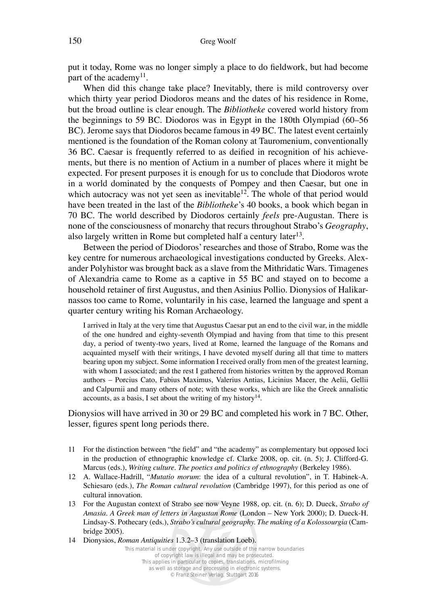put it today, Rome was no longer simply a place to do fieldwork, but had become part of the academy<sup>11</sup>.

When did this change take place? Inevitably, there is mild controversy over which thirty year period Diodoros means and the dates of his residence in Rome, but the broad outline is clear enough. The *Bibliotheke* covered world history from the beginnings to 59 BC. Diodoros was in Egypt in the 180th Olympiad  $(60-56)$ BC). Jerome says that Diodoros became famous in 49 BC. The latest event certainly mentioned is the foundation of the Roman colony at Tauromenium, conventionally 36 BC. Caesar is frequently referred to as deified in recognition of his achievements, but there is no mention of Actium in a number of places where it might be expected. For present purposes it is enough for us to conclude that Diodoros wrote in a world dominated by the conquests of Pompey and then Caesar, but one in which autocracy was not yet seen as inevitable<sup>12</sup>. The whole of that period would have been treated in the last of the *Bibliotheke*'s 40 books, a book which began in 70 BC. The world described by Diodoros certainly *feels* pre-Augustan. There is none of the consciousness of monarchy that recurs throughout Strabo's *Geography*, also largely written in Rome but completed half a century later<sup>13</sup>.

Between the period of Diodoros' researches and those of Strabo, Rome was the key centre for numerous archaeological investigations conducted by Greeks. Alexander Polyhistor was brought back as a slave from the Mithridatic Wars. Timagenes of Alexandria came to Rome as a captive in 55 BC and stayed on to become a household retainer of first Augustus, and then Asinius Pollio. Dionysios of Halikarnassos too came to Rome, voluntarily in his case, learned the language and spent a quarter century writing his Roman Archaeology.

I arrived in Italy at the very time that Augustus Caesar put an end to the civil war, in the middle of the one hundred and eighty-seventh Olympiad and having from that time to this present day, a period of twenty-two years, lived at Rome, learned the language of the Romans and acquainted myself with their writings, I have devoted myself during all that time to matters bearing upon my subject. Some information I received orally from men of the greatest learning, with whom I associated; and the rest I gathered from histories written by the approved Roman authors – Porcius Cato, Fabius Maximus, Valerius Antias, Licinius Macer, the Aelii, Gellii and Calpurnii and many others of note; with these works, which are like the Greek annalistic accounts, as a basis, I set about the writing of my history<sup>14</sup>.

Dionysios will have arrived in 30 or 29 BC and completed his work in 7 BC. Other, lesser, figures spent long periods there.

- 11 For the distinction between "the field" and "the academy" as complementary but opposed loci in the production of ethnographic knowledge cf. Clarke 2008, op. cit. (n. 5); J. Clifford-G. Marcus (eds.), *Writing culture. The poetics and politics of ethnography* (Berkeley 1986).
- 12 A. Wallace-Hadrill, "*Mutatio morum*: the idea of a cultural revolution", in T. Habinek-A. Schiesaro (eds.), *The Roman cultural revolution* (Cambridge 1997), for this period as one of cultural innovation.
- 13 For the Augustan context of Strabo see now Veyne 1988, op. cit. (n. 6); D. Dueck, *Strabo of Amasia. A Greek man of letters in Augustan Rome* (London – New York 2000); D. Dueck-H. Lindsay-S. Pothecary (eds.), *Strabo's cultural geography. The making of a Kolossourgia* (Cambridge 2005).
- 14 Dionysios, *Roman Antiquities* 1.3.2–3 (translation Loeb).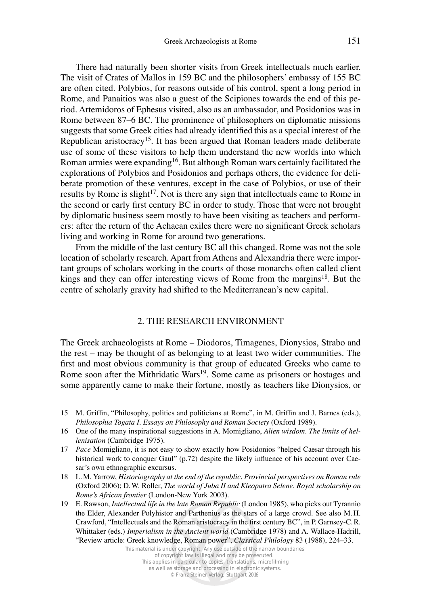There had naturally been shorter visits from Greek intellectuals much earlier. The visit of Crates of Mallos in 159 BC and the philosophers' embassy of 155 BC are often cited. Polybios, for reasons outside of his control, spent a long period in Rome, and Panaitios was also a guest of the Scipiones towards the end of this period. Artemidoros of Ephesus visited, also as an ambassador, and Posidonios was in Rome between 87–6 BC. The prominence of philosophers on diplomatic missions suggests that some Greek cities had already identified this as a special interest of the Republican aristocracy15. It has been argued that Roman leaders made deliberate use of some of these visitors to help them understand the new worlds into which Roman armies were expanding16. But although Roman wars certainly facilitated the explorations of Polybios and Posidonios and perhaps others, the evidence for deliberate promotion of these ventures, except in the case of Polybios, or use of their results by Rome is slight<sup>17</sup>. Not is there any sign that intellectuals came to Rome in the second or early first century BC in order to study. Those that were not brought by diplomatic business seem mostly to have been visiting as teachers and performers: after the return of the Achaean exiles there were no significant Greek scholars living and working in Rome for around two generations.

From the middle of the last century BC all this changed. Rome was not the sole location of scholarly research. Apart from Athens and Alexandria there were important groups of scholars working in the courts of those monarchs often called client kings and they can offer interesting views of Rome from the margins<sup>18</sup>. But the centre of scholarly gravity had shifted to the Mediterranean's new capital.

#### 2. THE RESEARCH ENVIRONMENT

The Greek archaeologists at Rome – Diodoros, Timagenes, Dionysios, Strabo and the rest – may be thought of as belonging to at least two wider communities. The first and most obvious community is that group of educated Greeks who came to Rome soon after the Mithridatic Wars<sup>19</sup>. Some came as prisoners or hostages and some apparently came to make their fortune, mostly as teachers like Dionysios, or

- 15 M. Griffin, "Philosophy, politics and politicians at Rome", in M. Griffin and J. Barnes (eds.), *Philosophia Togata I. Essays on Philosophy and Roman Society* (Oxford 1989).
- 16 One of the many inspirational suggestions in A. Momigliano, *Alien wisdom. The limits of hellenisation* (Cambridge 1975).
- 17 *Pace* Momigliano, it is not easy to show exactly how Posidonios "helped Caesar through his historical work to conquer Gaul" (p.72) despite the likely influence of his account over Caesar's own ethnographic excursus.
- 18 L.M. Yarrow, *Historiography at the end of the republic. Provincial perspectives on Roman rule* (Oxford 2006); D.W. Roller, *The world of Juba II and Kleopatra Selene. Royal scholarship on Rome's African frontier* (London-New York 2003).
- 19 E. Rawson, *Intellectual life in the late Roman Republic* (London 1985), who picks out Tyrannio the Elder, Alexander Polyhistor and Parthenius as the stars of a large crowd. See also M. H. Crawford, "Intellectuals and the Roman aristocracy in the first century BC", in P. Garnsey-C.R. Whittaker (eds.) *Imperialism in the Ancient world* (Cambridge 1978) and A. Wallace-Hadrill, "Review article: Greek knowledge, Roman power", *Classical Philology* 83 (1988), 224–33.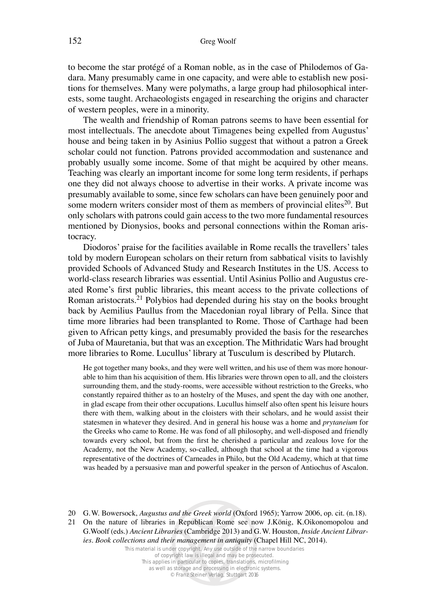to become the star protégé of a Roman noble, as in the case of Philodemos of Gadara. Many presumably came in one capacity, and were able to establish new positions for themselves. Many were polymaths, a large group had philosophical interests, some taught. Archaeologists engaged in researching the origins and character of western peoples, were in a minority.

The wealth and friendship of Roman patrons seems to have been essential for most intellectuals. The anecdote about Timagenes being expelled from Augustus' house and being taken in by Asinius Pollio suggest that without a patron a Greek scholar could not function. Patrons provided accommodation and sustenance and probably usually some income. Some of that might be acquired by other means. Teaching was clearly an important income for some long term residents, if perhaps one they did not always choose to advertise in their works. A private income was presumably available to some, since few scholars can have been genuinely poor and some modern writers consider most of them as members of provincial elites $^{20}$ . But only scholars with patrons could gain access to the two more fundamental resources mentioned by Dionysios, books and personal connections within the Roman aristocracy.

Diodoros' praise for the facilities available in Rome recalls the travellers' tales told by modern European scholars on their return from sabbatical visits to lavishly provided Schools of Advanced Study and Research Institutes in the US. Access to world-class research libraries was essential. Until Asinius Pollio and Augustus created Rome's first public libraries, this meant access to the private collections of Roman aristocrats.21 Polybios had depended during his stay on the books brought back by Aemilius Paullus from the Macedonian royal library of Pella. Since that time more libraries had been transplanted to Rome. Those of Carthage had been given to African petty kings, and presumably provided the basis for the researches of Juba of Mauretania, but that was an exception. The Mithridatic Wars had brought more libraries to Rome. Lucullus' library at Tusculum is described by Plutarch.

He got together many books, and they were well written, and his use of them was more honourable to him than his acquisition of them. His libraries were thrown open to all, and the cloisters surrounding them, and the study-rooms, were accessible without restriction to the Greeks, who constantly repaired thither as to an hostelry of the Muses, and spent the day with one another, in glad escape from their other occupations. Lucullus himself also often spent his leisure hours there with them, walking about in the cloisters with their scholars, and he would assist their statesmen in whatever they desired. And in general his house was a home and *prytaneium* for the Greeks who came to Rome. He was fond of all philosophy, and well-disposed and friendly towards every school, but from the first he cherished a particular and zealous love for the Academy, not the New Academy, so-called, although that school at the time had a vigorous representative of the doctrines of Carneades in Philo, but the Old Academy, which at that time was headed by a persuasive man and powerful speaker in the person of Antiochus of Ascalon.

21 On the nature of libraries in Republican Rome see now J.König, K.Oikonomopolou and G. Woolf (eds.) Ancient Libraries (Cambridge 2013) and G. W. Houston, Inside Ancient Librar*ies. Book collections and their management in antiquity* (Chapel Hill NC, 2014).

<sup>20</sup> G. W. Bowersock, *Augustus and the Greek world* (Oxford 1965); Yarrow 2006, op. cit. (n.18).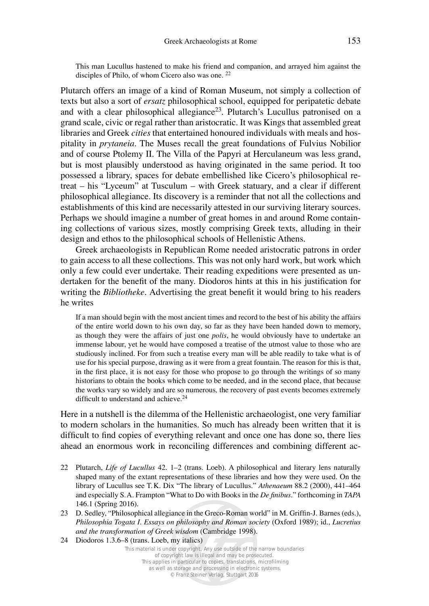This man Lucullus hastened to make his friend and companion, and arrayed him against the disciples of Philo, of whom Cicero also was one. 22

Plutarch offers an image of a kind of Roman Museum, not simply a collection of texts but also a sort of *ersatz* philosophical school, equipped for peripatetic debate and with a clear philosophical allegiance<sup>23</sup>. Plutarch's Lucullus patronised on a grand scale, civic or regal rather than aristocratic. It was Kings that assembled great libraries and Greek *cities* that entertained honoured individuals with meals and hospitality in *prytaneia*. The Muses recall the great foundations of Fulvius Nobilior and of course Ptolemy II. The Villa of the Papyri at Herculaneum was less grand, but is most plausibly understood as having originated in the same period. It too possessed a library, spaces for debate embellished like Cicero's philosophical retreat – his "Lyceum" at Tusculum – with Greek statuary, and a clear if different philosophical allegiance. Its discovery is a reminder that not all the collections and establishments of this kind are necessarily attested in our surviving literary sources. Perhaps we should imagine a number of great homes in and around Rome containing collections of various sizes, mostly comprising Greek texts, alluding in their design and ethos to the philosophical schools of Hellenistic Athens.

Greek archaeologists in Republican Rome needed aristocratic patrons in order to gain access to all these collections. This was not only hard work, but work which only a few could ever undertake. Their reading expeditions were presented as undertaken for the benefit of the many. Diodoros hints at this in his justification for writing the *Bibliotheke*. Advertising the great benefit it would bring to his readers he writes

If a man should begin with the most ancient times and record to the best of his ability the affairs of the entire world down to his own day, so far as they have been handed down to memory, as though they were the affairs of just one *polis*, he would obviously have to undertake an immense labour, yet he would have composed a treatise of the utmost value to those who are studiously inclined. For from such a treatise every man will be able readily to take what is of use for his special purpose, drawing as it were from a great fountain. The reason for this is that, in the first place, it is not easy for those who propose to go through the writings of so many historians to obtain the books which come to be needed, and in the second place, that because the works vary so widely and are so numerous*,* the recovery of past events becomes extremely difficult to understand and achieve.<sup>24</sup>

Here in a nutshell is the dilemma of the Hellenistic archaeologist, one very familiar to modern scholars in the humanities. So much has already been written that it is difficult to find copies of everything relevant and once one has done so, there lies ahead an enormous work in reconciling differences and combining different ac-

- 22 Plutarch, *Life of Lucullus* 42. 1–2 (trans. Loeb). A philosophical and literary lens naturally shaped many of the extant representations of these libraries and how they were used. On the library of Lucullus see T.K. Dix "The library of Lucullus." *Athenaeum* 88.2 (2000), 441–464 and especially S. A. Frampton "What to Do with Books in the *De finibus*." forthcoming in *TAPA* 146.1 (Spring 2016).
- 23 D. Sedley, "Philosophical allegiance in the Greco-Roman world" in M. Griffin-J. Barnes (eds.), *Philosophia Togata I. Essays on philosophy and Roman society* (Oxford 1989); id., *Lucretius* and the transformation of Greek wisdom (Cambridge 1998).
- 24 Diodoros 1.3.6–8 (trans. Loeb, my italics)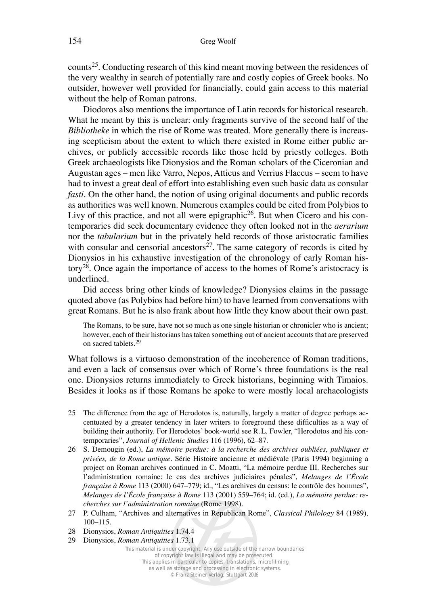counts25. Conducting research of this kind meant moving between the residences of the very wealthy in search of potentially rare and costly copies of Greek books. No outsider, however well provided for financially, could gain access to this material without the help of Roman patrons.

Diodoros also mentions the importance of Latin records for historical research. What he meant by this is unclear: only fragments survive of the second half of the *Bibliotheke* in which the rise of Rome was treated. More generally there is increasing scepticism about the extent to which there existed in Rome either public archives, or publicly accessible records like those held by priestly colleges. Both Greek archaeologists like Dionysios and the Roman scholars of the Ciceronian and Augustan ages – men like Varro, Nepos, Atticus and Verrius Flaccus – seem to have had to invest a great deal of effort into establishing even such basic data as consular *fasti*. On the other hand, the notion of using original documents and public records as authorities was well known. Numerous examples could be cited from Polybios to Livy of this practice, and not all were epigraphic<sup>26</sup>. But when Cicero and his contemporaries did seek documentary evidence they often looked not in the *aerarium* nor the *tabularium* but in the privately held records of those aristocratic families with consular and censorial ancestors<sup>27</sup>. The same category of records is cited by Dionysios in his exhaustive investigation of the chronology of early Roman history28. Once again the importance of access to the homes of Rome's aristocracy is underlined.

Did access bring other kinds of knowledge? Dionysios claims in the passage quoted above (as Polybios had before him) to have learned from conversations with great Romans. But he is also frank about how little they know about their own past.

The Romans, to be sure, have not so much as one single historian or chronicler who is ancient; however, each of their historians has taken something out of ancient accounts that are preserved on sacred tablets.29

What follows is a virtuoso demonstration of the incoherence of Roman traditions, and even a lack of consensus over which of Rome's three foundations is the real one. Dionysios returns immediately to Greek historians, beginning with Timaios. Besides it looks as if those Romans he spoke to were mostly local archaeologists

- 25 The difference from the age of Herodotos is, naturally, largely a matter of degree perhaps accentuated by a greater tendency in later writers to foreground these difficulties as a way of building their authority. For Herodotos' book-world see R. L. Fowler, "Herodotos and his contemporaries", *Journal of Hellenic Studies* 116 (1996), 62-87.
- 26 S. Demougin (ed.), *La mémoire perdue: à la recherche des archives oubliées, publiques et* privées, de la Rome antique. Série Histoire ancienne et médiévale (Paris 1994) beginning a project on Roman archives continued in C. Moatti, "La mémoire perdue III. Recherches sur l'administration romaine: le cas des archives judiciaires pénales", *Melanges de l'École française à Rome* 113 (2000) 647–779; id., "Les archives du census: le contrôle des hommes", *Melanges de l'École française à Rome* 113 (2001) 559–764; id. (ed.), *La mémoire perdue: recherches sur l'administration romaine* (Rome 1998).
- 27 P. Culham, "Archives and alternatives in Republican Rome", *Classical Philology* 84 (1989), 100–115.
- 28 Dionysios, *Roman Antiquities* 1.74.4
- 29 Dionysios, *Roman Antiquities* 1.73.1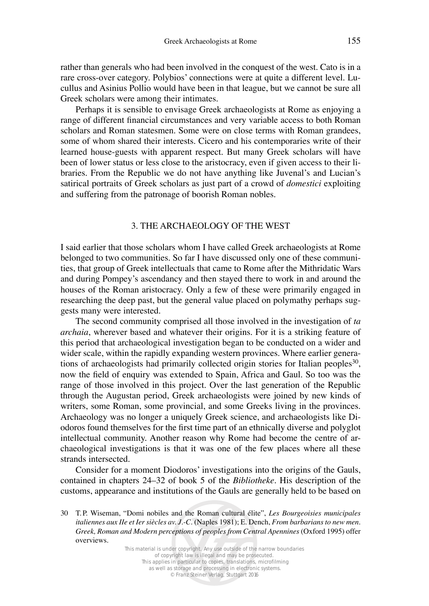rather than generals who had been involved in the conquest of the west. Cato is in a rare cross-over category. Polybios' connections were at quite a different level. Lucullus and Asinius Pollio would have been in that league, but we cannot be sure all Greek scholars were among their intimates.

Perhaps it is sensible to envisage Greek archaeologists at Rome as enjoying a range of different financial circumstances and very variable access to both Roman scholars and Roman statesmen. Some were on close terms with Roman grandees, some of whom shared their interests. Cicero and his contemporaries write of their learned house-guests with apparent respect. But many Greek scholars will have been of lower status or less close to the aristocracy, even if given access to their libraries. From the Republic we do not have anything like Juvenal's and Lucian's satirical portraits of Greek scholars as just part of a crowd of *domestici* exploiting and suffering from the patronage of boorish Roman nobles.

### 3. THE ARCHAEOLOGY OF THE WEST

I said earlier that those scholars whom I have called Greek archaeologists at Rome belonged to two communities. So far I have discussed only one of these communities, that group of Greek intellectuals that came to Rome after the Mithridatic Wars and during Pompey's ascendancy and then stayed there to work in and around the houses of the Roman aristocracy. Only a few of these were primarily engaged in researching the deep past, but the general value placed on polymathy perhaps suggests many were interested.

The second community comprised all those involved in the investigation of *ta archaia*, wherever based and whatever their origins. For it is a striking feature of this period that archaeological investigation began to be conducted on a wider and wider scale, within the rapidly expanding western provinces. Where earlier generations of archaeologists had primarily collected origin stories for Italian peoples<sup>30</sup>, now the field of enquiry was extended to Spain, Africa and Gaul. So too was the range of those involved in this project. Over the last generation of the Republic through the Augustan period, Greek archaeologists were joined by new kinds of writers, some Roman, some provincial, and some Greeks living in the provinces. Archaeology was no longer a uniquely Greek science, and archaeologists like Diodoros found themselves for the first time part of an ethnically diverse and polyglot intellectual community. Another reason why Rome had become the centre of archaeological investigations is that it was one of the few places where all these strands intersected.

Consider for a moment Diodoros' investigations into the origins of the Gauls, contained in chapters 24–32 of book 5 of the *Bibliotheke*. His description of the customs, appearance and institutions of the Gauls are generally held to be based on

<sup>30</sup> T. P. Wiseman, "Domi nobiles and the Roman cultural élite", *Les Bourgeoisies municipales italiennes aux IIe et Ier siècles av. J.-C.* (Naples 1981); E. Dench, *From barbarians to new men.* Greek, Roman and Modern perceptions of peoples from Central Apennines (Oxford 1995) offer overviews.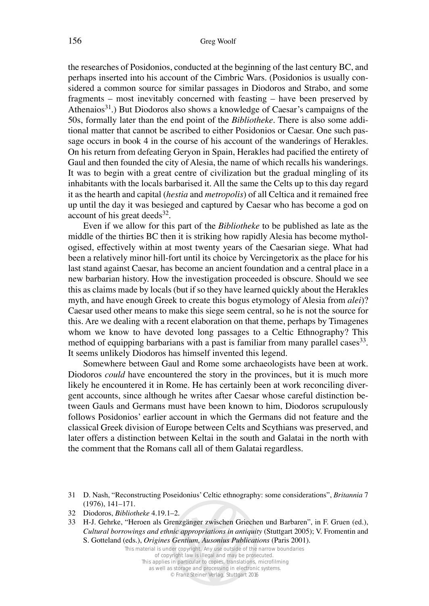the researches of Posidonios, conducted at the beginning of the last century BC, and perhaps inserted into his account of the Cimbric Wars. (Posidonios is usually considered a common source for similar passages in Diodoros and Strabo, and some fragments – most inevitably concerned with feasting – have been preserved by Athenaios<sup>31</sup>.) But Diodoros also shows a knowledge of Caesar's campaigns of the 50s, formally later than the end point of the *Bibliotheke*. There is also some additional matter that cannot be ascribed to either Posidonios or Caesar. One such passage occurs in book 4 in the course of his account of the wanderings of Herakles. On his return from defeating Geryon in Spain, Herakles had pacified the entirety of Gaul and then founded the city of Alesia, the name of which recalls his wanderings. It was to begin with a great centre of civilization but the gradual mingling of its inhabitants with the locals barbarised it. All the same the Celts up to this day regard it as the hearth and capital (*hestia* and *metropolis*) of all Celtica and it remained free up until the day it was besieged and captured by Caesar who has become a god on account of his great deeds $32$ .

Even if we allow for this part of the *Bibliotheke* to be published as late as the middle of the thirties BC then it is striking how rapidly Alesia has become mythologised, effectively within at most twenty years of the Caesarian siege. What had been a relatively minor hill-fort until its choice by Vercingetorix as the place for his last stand against Caesar, has become an ancient foundation and a central place in a new barbarian history. How the investigation proceeded is obscure. Should we see this as claims made by locals (but if so they have learned quickly about the Herakles myth, and have enough Greek to create this bogus etymology of Alesia from *alei*)? Caesar used other means to make this siege seem central, so he is not the source for this. Are we dealing with a recent elaboration on that theme, perhaps by Timagenes whom we know to have devoted long passages to a Celtic Ethnography? This method of equipping barbarians with a past is familiar from many parallel cases<sup>33</sup>. It seems unlikely Diodoros has himself invented this legend.

Somewhere between Gaul and Rome some archaeologists have been at work. Diodoros *could* have encountered the story in the provinces, but it is much more likely he encountered it in Rome. He has certainly been at work reconciling divergent accounts, since although he writes after Caesar whose careful distinction between Gauls and Germans must have been known to him, Diodoros scrupulously follows Posidonios' earlier account in which the Germans did not feature and the classical Greek division of Europe between Celts and Scythians was preserved, and later offers a distinction between Keltai in the south and Galatai in the north with the comment that the Romans call all of them Galatai regardless.

<sup>31</sup> D. Nash, "Reconstructing Poseidonius' Celtic ethnography: some considerations", *Britannia* 7 (1976), 141–171.

<sup>32</sup> Diodoros, *Bibliotheke* 4.19.1–2.

<sup>33</sup> H-J. Gehrke, "Heroen als Grenzgänger zwischen Griechen und Barbaren", in F. Gruen (ed.), *Cultural borrowings and ethnic appropriations in antiquity* (Stuttgart 2005); V. Fromentin and S. Gotteland (eds.), *Origines Gentium, Ausonius Publications* (Paris 2001).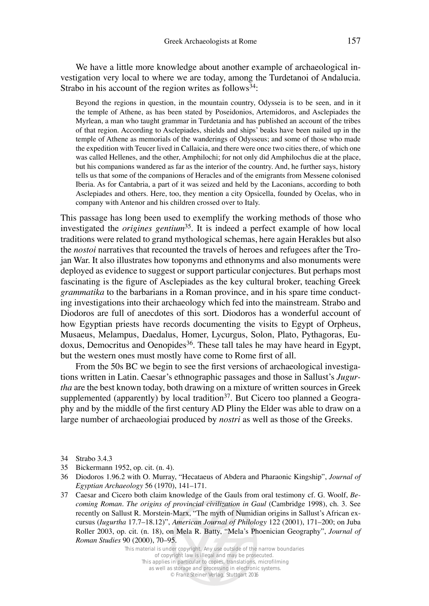We have a little more knowledge about another example of archaeological investigation very local to where we are today, among the Turdetanoi of Andalucia. Strabo in his account of the region writes as follows<sup>34</sup>:

Beyond the regions in question, in the mountain country, Odysseia is to be seen, and in it the temple of Athene, as has been stated by Poseidonios, Artemidoros, and Asclepiades the Myrlean, a man who taught grammar in Turdetania and has published an account of the tribes of that region. According to Asclepiades, shields and ships' beaks have been nailed up in the temple of Athene as memorials of the wanderings of Odysseus; and some of those who made the expedition with Teucer lived in Callaicia, and there were once two cities there, of which one was called Hellenes, and the other, Amphilochi; for not only did Amphilochus die at the place, but his companions wandered as far as the interior of the country. And, he further says, history tells us that some of the companions of Heracles and of the emigrants from Messene colonised Iberia. As for Cantabria, a part of it was seized and held by the Laconians, according to both Asclepiades and others. Here, too, they mention a city Opsicella, founded by Ocelas, who in company with Antenor and his children crossed over to Italy.

This passage has long been used to exemplify the working methods of those who investigated the *origines gentium*35. It is indeed a perfect example of how local traditions were related to grand mythological schemas, here again Herakles but also the *nostoi* narratives that recounted the travels of heroes and refugees after the Trojan War. It also illustrates how toponyms and ethnonyms and also monuments were deployed as evidence to suggest or support particular conjectures. But perhaps most fascinating is the figure of Asclepiades as the key cultural broker, teaching Greek *grammatika* to the barbarians in a Roman province, and in his spare time conducting investigations into their archaeology which fed into the mainstream. Strabo and Diodoros are full of anecdotes of this sort. Diodoros has a wonderful account of how Egyptian priests have records documenting the visits to Egypt of Orpheus, Musaeus, Melampus, Daedalus, Homer, Lycurgus, Solon, Plato, Pythagoras, Eudoxus, Democritus and Oenopides<sup>36</sup>. These tall tales he may have heard in Egypt, but the western ones must mostly have come to Rome first of all.

From the 50s BC we begin to see the first versions of archaeological investigations written in Latin. Caesar's ethnographic passages and those in Sallust's *Jugurtha* are the best known today, both drawing on a mixture of written sources in Greek supplemented (apparently) by local tradition<sup>37</sup>. But Cicero too planned a Geography and by the middle of the first century AD Pliny the Elder was able to draw on a large number of archaeologiai produced by *nostri* as well as those of the Greeks.

- 35 Bickermann 1952, op. cit. (n. 4).
- 36 Diodoros 1.96.2 with O. Murray, "Hecataeus of Abdera and Pharaonic Kingship", *Journal of Egyptian Archaeology* 56 (1970), 141–171.
- 37 Caesar and Cicero both claim knowledge of the Gauls from oral testimony cf. G. Woolf, *Be*coming Roman. The origins of provincial civilization in Gaul (Cambridge 1998), ch. 3. See recently on Sallust R. Morstein-Marx, "The myth of Numidian origins in Sallust's African excursus (*Iugurtha* 17.7-18.12)", *American Journal of Philology* 122 (2001), 171-200; on Juba Roller 2003, op. cit. (n. 18), on Mela R. Batty, "Mela's Phoenician Geography", *Journal of Roman Studies* 90 (2000), 70–95.

<sup>34</sup> Strabo 3.4.3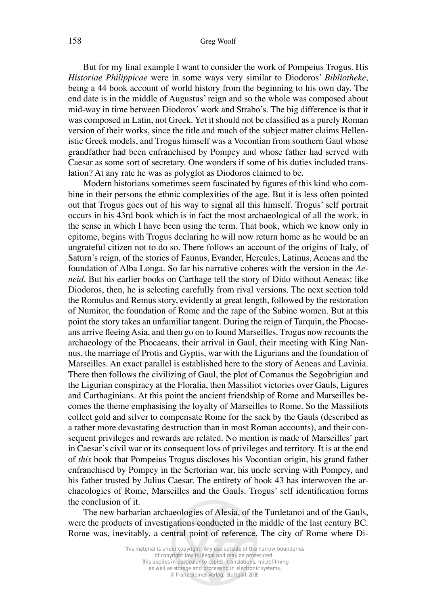But for my final example I want to consider the work of Pompeius Trogus. His *Historiae Philippicae* were in some ways very similar to Diodoros' *Bibliotheke*, being a 44 book account of world history from the beginning to his own day. The end date is in the middle of Augustus' reign and so the whole was composed about mid-way in time between Diodoros' work and Strabo's. The big difference is that it was composed in Latin, not Greek. Yet it should not be classified as a purely Roman version of their works, since the title and much of the subject matter claims Hellenistic Greek models, and Trogus himself was a Vocontian from southern Gaul whose grandfather had been enfranchised by Pompey and whose father had served with Caesar as some sort of secretary. One wonders if some of his duties included translation? At any rate he was as polyglot as Diodoros claimed to be.

Modern historians sometimes seem fascinated by figures of this kind who combine in their persons the ethnic complexities of the age. But it is less often pointed out that Trogus goes out of his way to signal all this himself. Trogus' self portrait occurs in his 43rd book which is in fact the most archaeological of all the work, in the sense in which I have been using the term. That book, which we know only in epitome, begins with Trogus declaring he will now return home as he would be an ungrateful citizen not to do so. There follows an account of the origins of Italy, of Saturn's reign, of the stories of Faunus, Evander, Hercules, Latinus, Aeneas and the foundation of Alba Longa. So far his narrative coheres with the version in the *Aeneid.* But his earlier books on Carthage tell the story of Dido without Aeneas: like Diodoros, then, he is selecting carefully from rival versions. The next section told the Romulus and Remus story, evidently at great length, followed by the restoration of Numitor, the foundation of Rome and the rape of the Sabine women. But at this point the story takes an unfamiliar tangent. During the reign of Tarquin, the Phocaeans arrive fleeing Asia, and then go on to found Marseilles. Trogus now recounts the archaeology of the Phocaeans, their arrival in Gaul, their meeting with King Nannus, the marriage of Protis and Gyptis, war with the Ligurians and the foundation of Marseilles. An exact parallel is established here to the story of Aeneas and Lavinia. There then follows the civilizing of Gaul, the plot of Comanus the Segobrigian and the Ligurian conspiracy at the Floralia, then Massiliot victories over Gauls, Ligures and Carthaginians. At this point the ancient friendship of Rome and Marseilles becomes the theme emphasising the loyalty of Marseilles to Rome. So the Massiliots collect gold and silver to compensate Rome for the sack by the Gauls (described as a rather more devastating destruction than in most Roman accounts), and their consequent privileges and rewards are related. No mention is made of Marseilles' part in Caesar's civil war or its consequent loss of privileges and territory. It is at the end of *this* book that Pompeius Trogus discloses his Vocontian origin, his grand father enfranchised by Pompey in the Sertorian war, his uncle serving with Pompey, and his father trusted by Julius Caesar. The entirety of book 43 has interwoven the archaeologies of Rome, Marseilles and the Gauls. Trogus' self identification forms the conclusion of it.

The new barbarian archaeologies of Alesia, of the Turdetanoi and of the Gauls, were the products of investigations conducted in the middle of the last century BC. Rome was, inevitably, a central point of reference. The city of Rome where Di